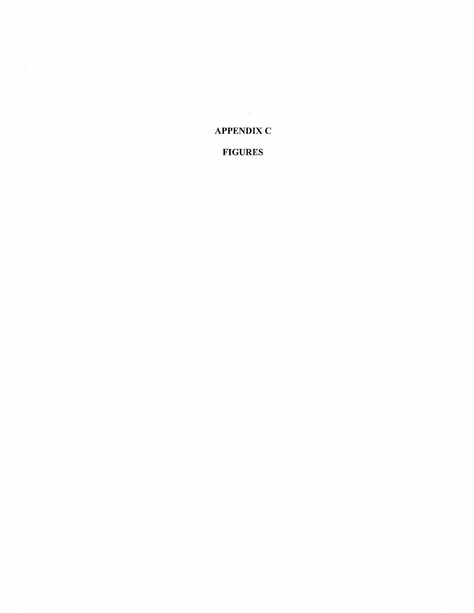## **APPENDIX C**

 $\sim$   $\sim$ 

## **FIGURES**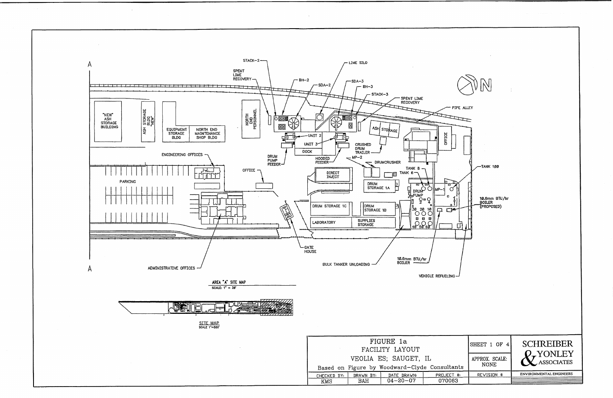

|               | SHEET 1 OF 4                  | <b>SCHREIBER</b><br>2.YONLEY<br><b>X</b> ASSOCIATES |
|---------------|-------------------------------|-----------------------------------------------------|
| ${\tt tants}$ | APPROX. SCALE:<br><b>NONE</b> |                                                     |
| ст<br>₩,      | REVISION #                    | <b>ENVIRONMENTAL ENGINEERS</b>                      |
| 063           |                               |                                                     |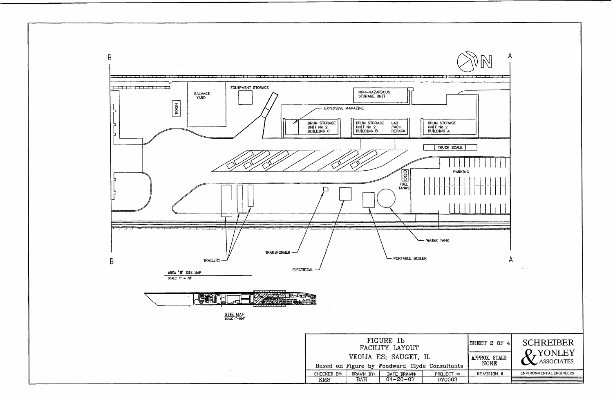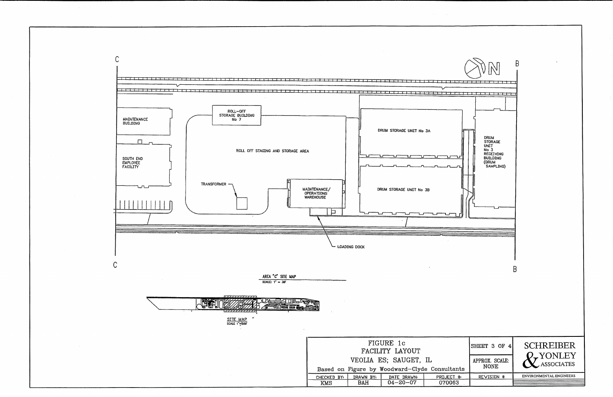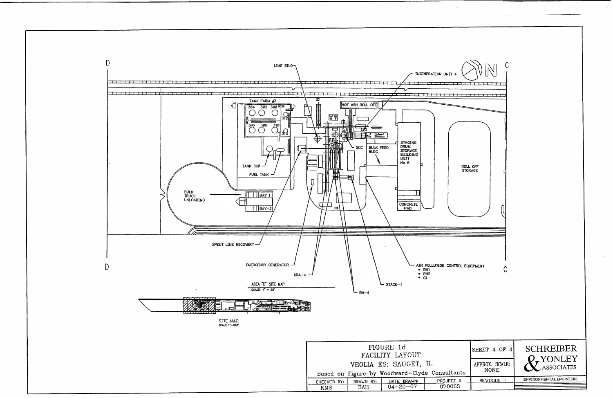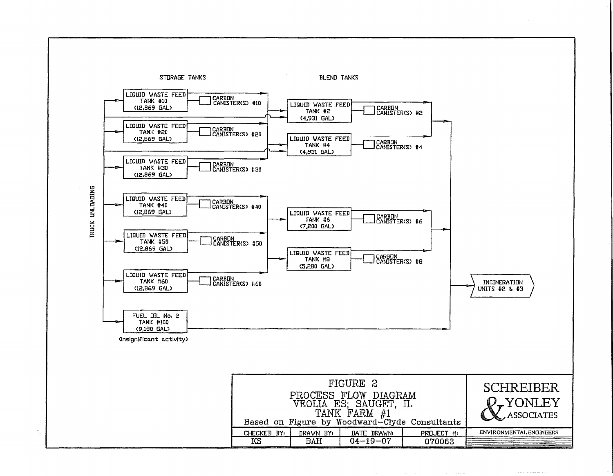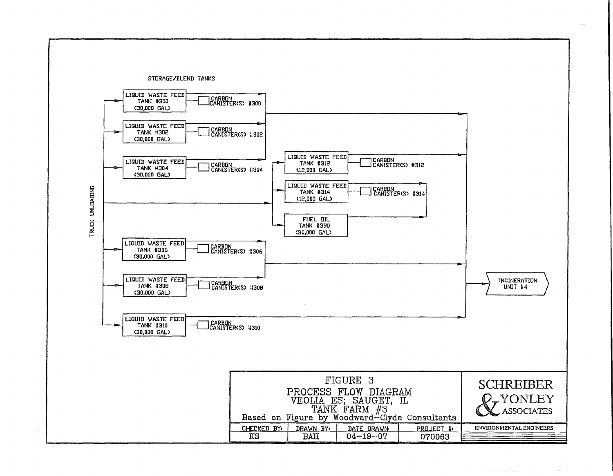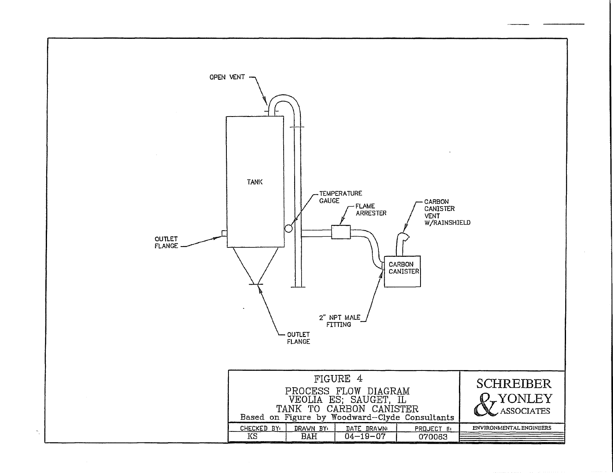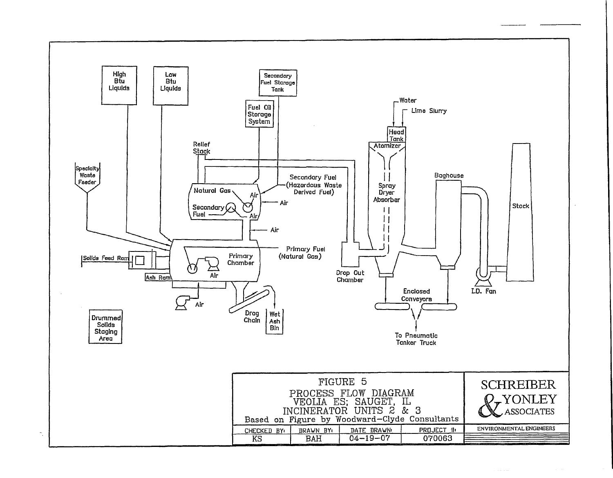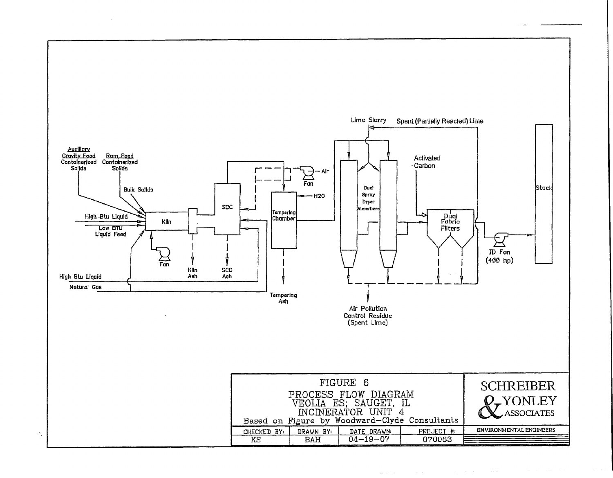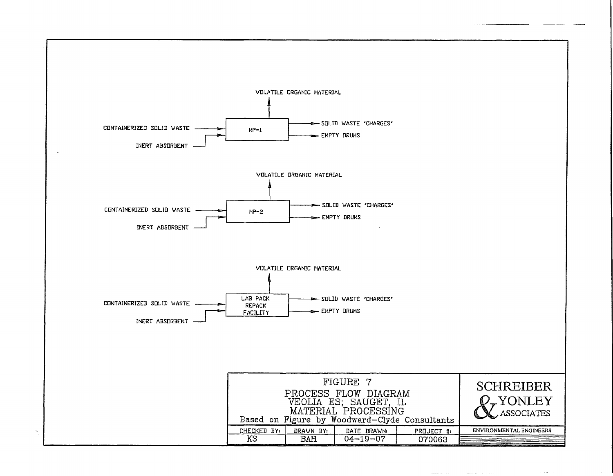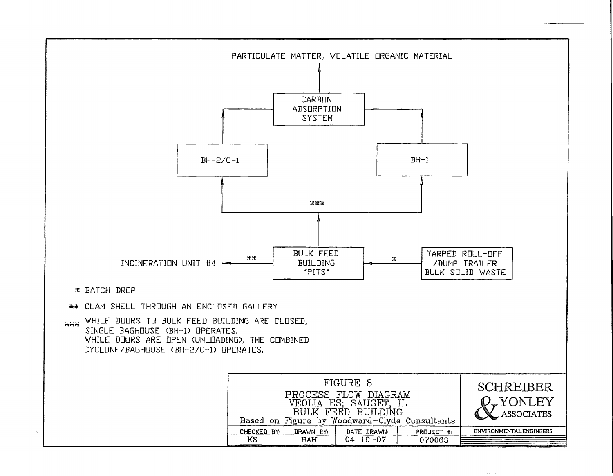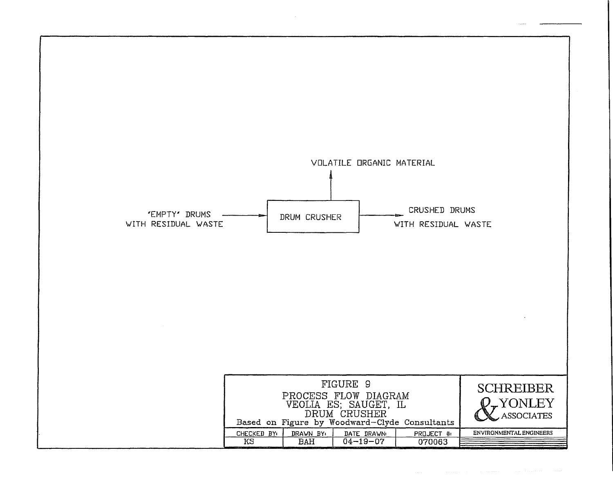